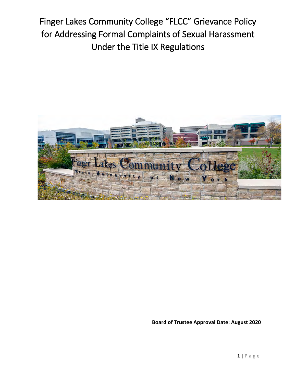Finger Lakes Community College "FLCC" Grievance Policy for Addressing Formal Complaints of Sexual Harassment Under the Title IX Regulations



**Board of Trustee Approval Date: August 2020**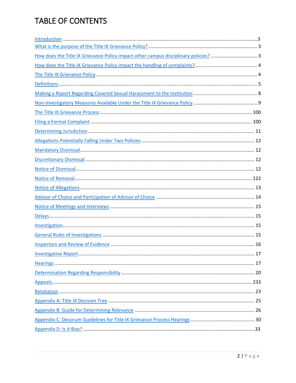## TABLE OF CONTENTS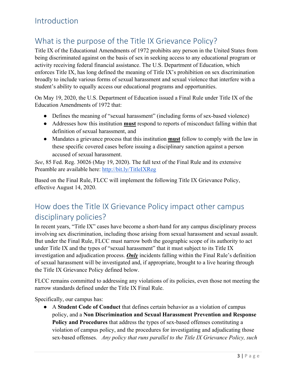## <span id="page-2-0"></span>Introduction

## <span id="page-2-1"></span>What is the purpose of the Title IX Grievance Policy?

 being discriminated against on the basis of sex in seeking access to any educational program or Title IX of the Educational Amendments of 1972 prohibits any person in the United States from activity receiving federal financial assistance. The U.S. Department of Education, which enforces Title IX, has long defined the meaning of Title IX's prohibition on sex discrimination broadly to include various forms of sexual harassment and sexual violence that interfere with a student's ability to equally access our educational programs and opportunities.

On May 19, 2020, the U.S. Department of Education issued a Final Rule under Title IX of the Education Amendments of 1972 that:

- Defines the meaning of "sexual harassment" (including forms of sex-based violence)
- Addresses how this institution **must** respond to reports of misconduct falling within that definition of sexual harassment, and
- ● Mandates a grievance process that this institution **must** follow to comply with the law in these specific covered cases before issuing a disciplinary sanction against a person accused of sexual harassment.

*See*, 85 Fed. Reg. 30026 (May 19, 2020). The full text of the Final Rule and its extensive Preamble are available here: http://bit.ly/TitleIXReg

Based on the Final Rule, FLCC will implement the following Title IX Grievance Policy, effective August 14, 2020.

## <span id="page-2-2"></span>How does the Title IX Grievance Policy impact other campus disciplinary policies?

 of sexual harassment will be investigated and, if appropriate, brought to a live hearing through In recent years, "Title IX" cases have become a short-hand for any campus disciplinary process involving sex discrimination, including those arising from sexual harassment and sexual assault. But under the Final Rule, FLCC must narrow both the geographic scope of its authority to act under Title IX and the types of "sexual harassment" that it must subject to its Title IX investigation and adjudication process. *Only* incidents falling within the Final Rule's definition the Title IX Grievance Policy defined below.

 narrow standards defined under the Title IX Final Rule. FLCC remains committed to addressing any violations of its policies, even those not meeting the

Specifically, our campus has:

 sex-based offenses. *Any policy that runs parallel to the Title IX Grievance Policy, such*  ● A **Student Code of Conduct** that defines certain behavior as a violation of campus policy, and a **Non Discrimination and Sexual Harassment Prevention and Response Policy and Procedures** that address the types of sex-based offenses constituting a violation of campus policy, and the procedures for investigating and adjudicating those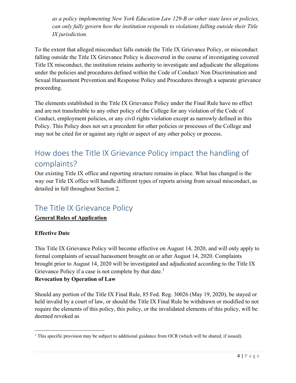*can only fully govern how the institution responds to violations falling outside their Title as a policy implementing New York Education Law 129-B or other state laws or policies, IX jurisdiction.* 

 To the extent that alleged misconduct falls outside the Title IX Grievance Policy, or misconduct falling outside the Title IX Grievance Policy is discovered in the course of investigating covered Title IX misconduct, the institution retains authority to investigate and adjudicate the allegations under the policies and procedures defined within the Code of Conduct/ Non Discrimination and Sexual Harassment Prevention and Response Policy and Procedures through a separate grievance proceeding.

 Policy. This Policy does not set a precedent for other policies or processes of the College and may not be cited for or against any right or aspect of any other policy or process. The elements established in the Title IX Grievance Policy under the Final Rule have no effect and are not transferable to any other policy of the College for any violation of the Code of Conduct, employment policies, or any civil rights violation except as narrowly defined in this

## <span id="page-3-0"></span>How does the Title IX Grievance Policy impact the handling of complaints?

Our existing Title IX office and reporting structure remains in place. What has changed is the way our Title IX office will handle different types of reports arising from sexual misconduct, as detailed in full throughout Section 2.

## <span id="page-3-1"></span>The Title IX Grievance Policy

### **General Rules of Application**

### **Effective Date**

l

 brought prior to August 14, 2020 will be investigated and adjudicated according to the Title IX Grievance Policy if a case is not complete by that date.<sup>[1](#page-3-2)</sup> This Title IX Grievance Policy will become effective on August 14, 2020, and will only apply to formal complaints of sexual harassment brought on or after August 14, 2020. Complaints

### **Revocation by Operation of Law**

 Should any portion of the Title IX Final Rule, 85 Fed. Reg. 30026 (May 19, 2020), be stayed or held invalid by a court of law, or should the Title IX Final Rule be withdrawn or modified to not require the elements of this policy, this policy, or the invalidated elements of this policy, will be deemed revoked as

<span id="page-3-2"></span> $1$  This specific provision may be subject to additional guidance from OCR (which will be shared, if issued).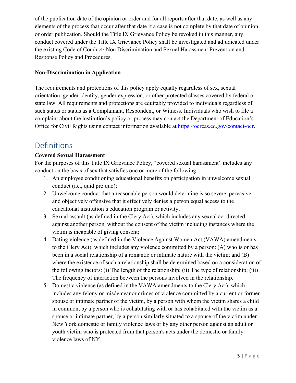of the publication date of the opinion or order and for all reports after that date, as well as any elements of the process that occur after that date if a case is not complete by that date of opinion or order publication. Should the Title IX Grievance Policy be revoked in this manner, any conduct covered under the Title IX Grievance Policy shall be investigated and adjudicated under the existing Code of Conduct/ Non Discrimination and Sexual Harassment Prevention and Response Policy and Procedures.

### **Non-Discrimination in Application**

The requirements and protections of this policy apply equally regardless of sex, sexual orientation, gender identity, gender expression, or other protected classes covered by federal or state law. All requirements and protections are equitably provided to individuals regardless of such status or status as a Complainant, Respondent, or Witness. Individuals who wish to file a complaint about the institution's policy or process may contact the Department of Education's Office for Civil Rights using contact information available at [https://ocrcas.ed.gov/contact-ocr.](https://ocrcas.ed.gov/contact-ocr)

### <span id="page-4-0"></span>Definitions

### **Covered Sexual Harassment**

conduct on the basis of sex that satisfies one or more of the following: For the purposes of this Title IX Grievance Policy, "covered sexual harassment" includes any

- conduct (i.e., quid pro quo); 1. An employee conditioning educational benefits on participation in unwelcome sexual
- educational institution's education program or activity; 2. Unwelcome conduct that a reasonable person would determine is so severe, pervasive, and objectively offensive that it effectively denies a person equal access to the
- 3. Sexual assault (as defined in the Clery Act), which includes any sexual act directed against another person, without the consent of the victim including instances where the victim is incapable of giving consent;
- 4. Dating violence (as defined in the Violence Against Women Act (VAWA) amendments to the Clery Act), which includes any violence committed by a person: (A) who is or has been in a social relationship of a romantic or intimate nature with the victim; and (B) where the existence of such a relationship shall be determined based on a consideration of the following factors: (i) The length of the relationship; (ii) The type of relationship; (iii) The frequency of interaction between the persons involved in the relationship.
- includes any felony or misdemeanor crimes of violence committed by a current or former spouse or intimate partner of the victim, by a person with whom the victim shares a child in common, by a person who is cohabitating with or has cohabitated with the victim as a spouse or intimate partner, by a person similarly situated to a spouse of the victim under New York domestic or family violence laws or by any other person against an adult or youth victim who is protected from that person's acts under the domestic or family violence laws of NY. 5. Domestic violence (as defined in the VAWA amendments to the Clery Act), which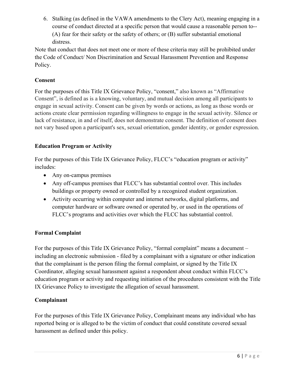6. Stalking (as defined in the VAWA amendments to the Clery Act), meaning engaging in a course of conduct directed at a specific person that would cause a reasonable person to-- (A) fear for their safety or the safety of others; or (B) suffer substantial emotional distress.

Note that conduct that does not meet one or more of these criteria may still be prohibited under the Code of Conduct/ Non Discrimination and Sexual Harassment Prevention and Response Policy.

### **Consent**

 For the purposes of this Title IX Grievance Policy, "consent," also known as "Affirmative engage in sexual activity. Consent can be given by words or actions, as long as those words or actions create clear permission regarding willingness to engage in the sexual activity. Silence or Consent", is defined as is a knowing, voluntary, and mutual decision among all participants to lack of resistance, in and of itself, does not demonstrate consent. The definition of consent does not vary based upon a participant's sex, sexual orientation, gender identity, or gender expression.

### **Education Program or Activity**

 For the purposes of this Title IX Grievance Policy, FLCC's "education program or activity" includes:

- Any on-campus premises
- buildings or property owned or controlled by a recognized student organization. • Any off-campus premises that FLCC's has substantial control over. This includes
- FLCC's programs and activities over which the FLCC has substantial control. • Activity occurring within computer and internet networks, digital platforms, and computer hardware or software owned or operated by, or used in the operations of

### **Formal Complaint**

For the purposes of this Title IX Grievance Policy, "formal complaint" means a document – including an electronic submission - filed by a complainant with a signature or other indication that the complainant is the person filing the formal complaint, or signed by the Title IX Coordinator, alleging sexual harassment against a respondent about conduct within FLCC's education program or activity and requesting initiation of the procedures consistent with the Title IX Grievance Policy to investigate the allegation of sexual harassment.

#### **Complainant**

 For the purposes of this Title IX Grievance Policy, Complainant means any individual who has reported being or is alleged to be the victim of conduct that could constitute covered sexual harassment as defined under this policy.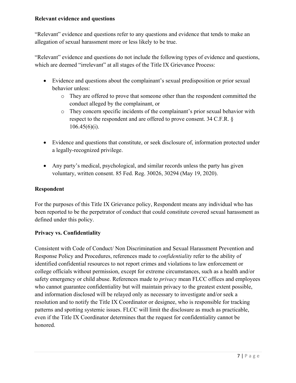#### **Relevant evidence and questions**

 "Relevant" evidence and questions refer to any questions and evidence that tends to make an allegation of sexual harassment more or less likely to be true.

 "Relevant" evidence and questions do not include the following types of evidence and questions, which are deemed "irrelevant" at all stages of the Title IX Grievance Process:

- • Evidence and questions about the complainant's sexual predisposition or prior sexual behavior unless:
	- o They are offered to prove that someone other than the respondent committed the conduct alleged by the complainant, or
	- o They concern specific incidents of the complainant's prior sexual behavior with respect to the respondent and are offered to prove consent. 34 C.F.R. §  $106.45(6)(i)$ .
- Evidence and questions that constitute, or seek disclosure of, information protected under a legally-recognized privilege.
- Any party's medical, psychological, and similar records unless the party has given voluntary, written consent. 85 Fed. Reg. 30026, 30294 (May 19, 2020).

#### **Respondent**

 For the purposes of this Title IX Grievance policy, Respondent means any individual who has been reported to be the perpetrator of conduct that could constitute covered sexual harassment as defined under this policy.

#### **Privacy vs. Confidentiality**

 resolution and to notify the Title IX Coordinator or designee, who is responsible for tracking patterns and spotting systemic issues. FLCC will limit the disclosure as much as practicable, Consistent with Code of Conduct/ Non Discrimination and Sexual Harassment Prevention and Response Policy and Procedures, references made to *confidentiality* refer to the ability of identified confidential resources to not report crimes and violations to law enforcement or college officials without permission, except for extreme circumstances, such as a health and/or safety emergency or child abuse. References made to *privacy* mean FLCC offices and employees who cannot guarantee confidentiality but will maintain privacy to the greatest extent possible, and information disclosed will be relayed only as necessary to investigate and/or seek a even if the Title IX Coordinator determines that the request for confidentiality cannot be honored.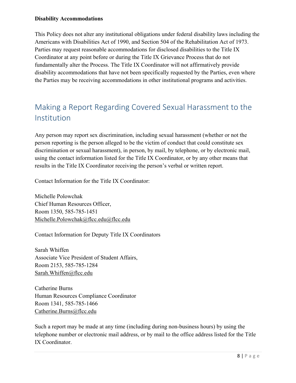#### **Disability Accommodations**

 Parties may request reasonable accommodations for disclosed disabilities to the Title IX Coordinator at any point before or during the Title IX Grievance Process that do not fundamentally alter the Process. The Title IX Coordinator will not affirmatively provide This Policy does not alter any institutional obligations under federal disability laws including the Americans with Disabilities Act of 1990, and Section 504 of the Rehabilitation Act of 1973. disability accommodations that have not been specifically requested by the Parties, even where the Parties may be receiving accommodations in other institutional programs and activities.

## <span id="page-7-0"></span>Making a Report Regarding Covered Sexual Harassment to the Institution

 results in the Title IX Coordinator receiving the person's verbal or written report. Any person may report sex discrimination, including sexual harassment (whether or not the person reporting is the person alleged to be the victim of conduct that could constitute sex discrimination or sexual harassment), in person, by mail, by telephone, or by electronic mail, using the contact information listed for the Title IX Coordinator, or by any other means that

Contact Information for the Title IX Coordinator:

Michelle Polowchak Chief Human Resources Officer, Room 1350, 585-785-1451 [Michelle.Polowchak@flcc.edu@flcc.edu](mailto:Michelle.Polowchak@flcc.edu@flcc.edu) 

Contact Information for Deputy Title IX Coordinators

 Associate Vice President of Student Affairs, Sarah Whiffen Room 2153, 585-785-1284

Sarah.Whiffen@flcc.edu<br>Catherine Burns Human Resources Compliance Coordinator Room 1341, 585-785-1466 [Catherine.Burns@flcc.edu](mailto:Catherine.Burns@flcc.edu) 

Such a report may be made at any time (including during non-business hours) by using the telephone number or electronic mail address, or by mail to the office address listed for the Title IX Coordinator.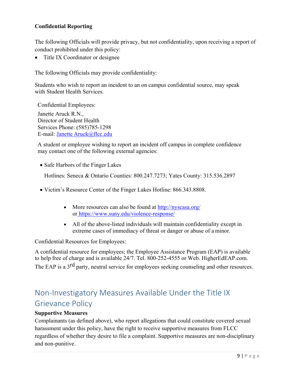### **Confidential Reporting**

 The following Officials will provide privacy, but not confidentiality, upon receiving a report of conduct prohibited under this policy:

• Title IX Coordinator or designee

The following Officials may provide confidentiality:

Students who wish to report an incident to an on campus confidential source, may speak with Student Health Services.

Confidential Employees:

E-mail: Janette Aruck@flcc.edu Janette Aruck R.N., Director of Student Health Services Phone: (585)785-1298

A student or employee wishing to report an incident off campus in complete confidence may contact one of the following external agencies:

• Safe Harbors of the Finger Lakes

Hotlines: Seneca & Ontario Counties: 800.247.7273; Yates County: 315.536.2897

- Victim's Resource Center of the Finger Lakes Hotline: 866.343.8808.
	- More resources can also be found at http://nyscasa.org/ o[r https://www.suny.edu/violence-response/](https://www.suny.edu/violence-response/)
	- extreme cases of immediacy of threat or danger or abuse of a minor. • All of the above-listed individuals will maintain confidentiality except in

Confidential Resources for Employees:

The EAP is a 3<sup>rd</sup> party, neutral service for employees seeking counseling and other resources. A confidential resource for employees; the Employee Assistance Program (EAP) is available to help free of charge and is available 24/7. Tel. 800-252-4555 or Web. [HigherEdEAP.com](https://HigherEdEAP.com).

## <span id="page-8-0"></span>Non-Investigatory Measures Available Under the Title IX Grievance Policy

#### **Supportive Measures**

Complainants (as defined above), who report allegations that could constitute covered sexual harassment under this policy, have the right to receive supportive measures from FLCC regardless of whether they desire to file a complaint. Supportive measures are non-disciplinary and non-punitive.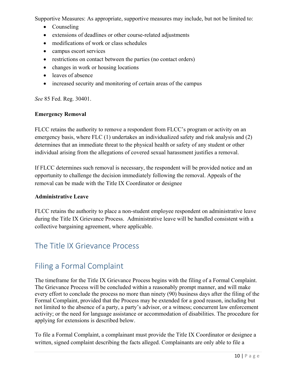Supportive Measures: As appropriate, supportive measures may include, but not be limited to:

- Counseling
- extensions of deadlines or other course-related adjustments
- modifications of work or class schedules
- campus escort services
- restrictions on contact between the parties (no contact orders)
- changes in work or housing locations
- leaves of absence
- increased security and monitoring of certain areas of the campus

*See* 85 Fed. Reg. 30401.

### **Emergency Removal**

 determines that an immediate threat to the physical health or safety of any student or other FLCC retains the authority to remove a respondent from FLCC's program or activity on an emergency basis, where FLC (1) undertakes an individualized safety and risk analysis and (2) individual arising from the allegations of covered sexual harassment justifies a removal.

If FLCC determines such removal is necessary, the respondent will be provided notice and an opportunity to challenge the decision immediately following the removal. Appeals of the removal can be made with the Title IX Coordinator or designee

### **Administrative Leave**

FLCC retains the authority to place a non-student employee respondent on administrative leave during the Title IX Grievance Process. Administrative leave will be handled consistent with a collective bargaining agreement, where applicable.

## <span id="page-9-0"></span>The Title IX Grievance Process

## <span id="page-9-1"></span>Filing a Formal Complaint

 every effort to conclude the process no more than ninety (90) business days after the filing of the Formal Complaint, provided that the Process may be extended for a good reason, including but The timeframe for the Title IX Grievance Process begins with the filing of a Formal Complaint. The Grievance Process will be concluded within a reasonably prompt manner, and will make not limited to the absence of a party, a party's advisor, or a witness; concurrent law enforcement activity; or the need for language assistance or accommodation of disabilities. The procedure for applying for extensions is described below.

 To file a Formal Complaint, a complainant must provide the Title IX Coordinator or designee a written, signed complaint describing the facts alleged. Complainants are only able to file a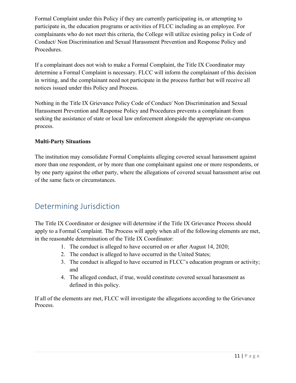Formal Complaint under this Policy if they are currently participating in, or attempting to participate in, the education programs or activities of FLCC including as an employee. For complainants who do not meet this criteria, the College will utilize existing policy in Code of Conduct/ Non Discrimination and Sexual Harassment Prevention and Response Policy and Procedures.

 If a complainant does not wish to make a Formal Complaint, the Title IX Coordinator may determine a Formal Complaint is necessary. FLCC will inform the complainant of this decision in writing, and the complainant need not participate in the process further but will receive all notices issued under this Policy and Process.

 Harassment Prevention and Response Policy and Procedures prevents a complainant from Nothing in the Title IX Grievance Policy Code of Conduct/ Non Discrimination and Sexual seeking the assistance of state or local law enforcement alongside the appropriate on-campus process.

### **Multi-Party Situations**

The institution may consolidate Formal Complaints alleging covered sexual harassment against more than one respondent, or by more than one complainant against one or more respondents, or by one party against the other party, where the allegations of covered sexual harassment arise out of the same facts or circumstances.

## <span id="page-10-0"></span>Determining Jurisdiction

 The Title IX Coordinator or designee will determine if the Title IX Grievance Process should apply to a Formal Complaint. The Process will apply when all of the following elements are met, in the reasonable determination of the Title IX Coordinator:

- 1. The conduct is alleged to have occurred on or after August 14, 2020;
- 2. The conduct is alleged to have occurred in the United States;
- 3. The conduct is alleged to have occurred in FLCC's education program or activity; and
- 4. The alleged conduct, if true, would constitute covered sexual harassment as defined in this policy.

 If all of the elements are met, FLCC will investigate the allegations according to the Grievance Process.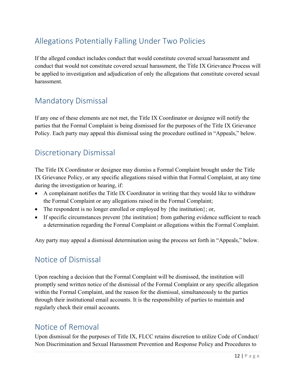## <span id="page-11-0"></span>Allegations Potentially Falling Under Two Policies

 be applied to investigation and adjudication of only the allegations that constitute covered sexual If the alleged conduct includes conduct that would constitute covered sexual harassment and conduct that would not constitute covered sexual harassment, the Title IX Grievance Process will harassment.

## <span id="page-11-1"></span>Mandatory Dismissal

If any one of these elements are not met, the Title IX Coordinator or designee will notify the parties that the Formal Complaint is being dismissed for the purposes of the Title IX Grievance Policy. Each party may appeal this dismissal using the procedure outlined in "Appeals," below.

## <span id="page-11-2"></span>Discretionary Dismissal

 The Title IX Coordinator or designee may dismiss a Formal Complaint brought under the Title IX Grievance Policy, or any specific allegations raised within that Formal Complaint, at any time during the investigation or hearing, if:

- • A complainant notifies the Title IX Coordinator in writing that they would like to withdraw the Formal Complaint or any allegations raised in the Formal Complaint;
- The respondent is no longer enrolled or employed by {the institution}; or,
- a determination regarding the Formal Complaint or allegations within the Formal Complaint. • If specific circumstances prevent {the institution} from gathering evidence sufficient to reach

<span id="page-11-3"></span>Any party may appeal a dismissal determination using the process set forth in "Appeals," below.

## Notice of Dismissal

 within the Formal Complaint, and the reason for the dismissal, simultaneously to the parties through their institutional email accounts. It is the responsibility of parties to maintain and Upon reaching a decision that the Formal Complaint will be dismissed, the institution will promptly send written notice of the dismissal of the Formal Complaint or any specific allegation regularly check their email accounts.

## <span id="page-11-4"></span>Notice of Removal

Upon dismissal for the purposes of Title IX, FLCC retains discretion to utilize Code of Conduct/ Non Discrimination and Sexual Harassment Prevention and Response Policy and Procedures to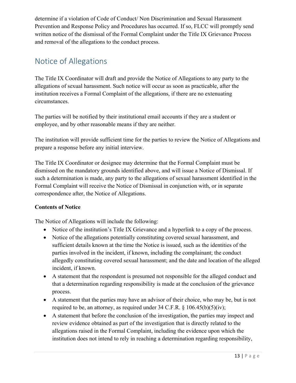determine if a violation of Code of Conduct/ Non Discrimination and Sexual Harassment Prevention and Response Policy and Procedures has occurred. If so, FLCC will promptly send written notice of the dismissal of the Formal Complaint under the Title IX Grievance Process and removal of the allegations to the conduct process.

## <span id="page-12-0"></span>Notice of Allegations

The Title IX Coordinator will draft and provide the Notice of Allegations to any party to the allegations of sexual harassment. Such notice will occur as soon as practicable, after the institution receives a Formal Complaint of the allegations, if there are no extenuating circumstances.

 employee, and by other reasonable means if they are neither. The parties will be notified by their institutional email accounts if they are a student or

 The institution will provide sufficient time for the parties to review the Notice of Allegations and prepare a response before any initial interview.

 dismissed on the mandatory grounds identified above, and will issue a Notice of Dismissal. If The Title IX Coordinator or designee may determine that the Formal Complaint must be such a determination is made, any party to the allegations of sexual harassment identified in the Formal Complaint will receive the Notice of Dismissal in conjunction with, or in separate correspondence after, the Notice of Allegations.

### **Contents of Notice**

The Notice of Allegations will include the following:

- Notice of the institution's Title IX Grievance and a hyperlink to a copy of the process.
- parties involved in the incident, if known, including the complainant; the conduct • Notice of the allegations potentially constituting covered sexual harassment, and sufficient details known at the time the Notice is issued, such as the identities of the allegedly constituting covered sexual harassment; and the date and location of the alleged incident, if known.
- A statement that the respondent is presumed not responsible for the alleged conduct and that a determination regarding responsibility is made at the conclusion of the grievance process.
- A statement that the parties may have an advisor of their choice, who may be, but is not required to be, an attorney, as required under  $34$  C.F.R. §  $106.45(b)(5)(iv)$ ;
- A statement that before the conclusion of the investigation, the parties may inspect and review evidence obtained as part of the investigation that is directly related to the allegations raised in the Formal Complaint, including the evidence upon which the institution does not intend to rely in reaching a determination regarding responsibility,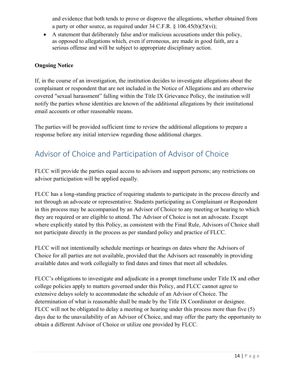and evidence that both tends to prove or disprove the allegations, whether obtained from a party or other source, as required under 34 C.F.R.  $\S 106.45(b)(5)(vi)$ ;

• A statement that deliberately false and/or malicious accusations under this policy, as opposed to allegations which, even if erroneous, are made in good faith, are a serious offense and will be subject to appropriate disciplinary action.

### **Ongoing Notice**

 If, in the course of an investigation, the institution decides to investigate allegations about the covered "sexual harassment" falling within the Title IX Grievance Policy, the institution will notify the parties whose identities are known of the additional allegations by their institutional complainant or respondent that are not included in the Notice of Allegations and are otherwise email accounts or other reasonable means.

 The parties will be provided sufficient time to review the additional allegations to prepare a response before any initial interview regarding those additional charges.

## <span id="page-13-0"></span>Advisor of Choice and Participation of Advisor of Choice

 FLCC will provide the parties equal access to advisors and support persons; any restrictions on advisor participation will be applied equally.

 not through an advocate or representative. Students participating as Complainant or Respondent they are required or are eligible to attend. The Advisor of Choice is not an advocate. Except FLCC has a long-standing practice of requiring students to participate in the process directly and in this process may be accompanied by an Advisor of Choice to any meeting or hearing to which where explicitly stated by this Policy, as consistent with the Final Rule, Advisors of Choice shall not participate directly in the process as per standard policy and practice of FLCC.

FLCC will not intentionally schedule meetings or hearings on dates where the Advisors of Choice for all parties are not available, provided that the Advisors act reasonably in providing available dates and work collegially to find dates and times that meet all schedules.

<span id="page-13-1"></span> FLCC will not be obligated to delay a meeting or hearing under this process more than five (5) FLCC's obligations to investigate and adjudicate in a prompt timeframe under Title IX and other college policies apply to matters governed under this Policy, and FLCC cannot agree to extensive delays solely to accommodate the schedule of an Advisor of Choice. The determination of what is reasonable shall be made by the Title IX Coordinator or designee. days due to the unavailability of an Advisor of Choice, and may offer the party the opportunity to obtain a different Advisor of Choice or utilize one provided by FLCC.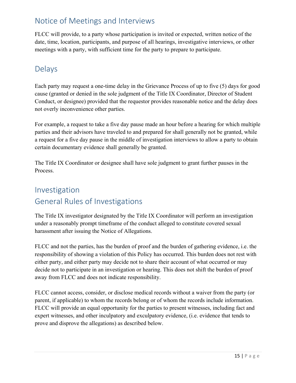## Notice of Meetings and Interviews

 FLCC will provide, to a party whose participation is invited or expected, written notice of the date, time, location, participants, and purpose of all hearings, investigative interviews, or other meetings with a party, with sufficient time for the party to prepare to participate.

## <span id="page-14-0"></span>Delays

 Conduct, or designee) provided that the requestor provides reasonable notice and the delay does Each party may request a one-time delay in the Grievance Process of up to five (5) days for good cause (granted or denied in the sole judgment of the Title IX Coordinator, Director of Student not overly inconvenience other parties.

For example, a request to take a five day pause made an hour before a hearing for which multiple parties and their advisors have traveled to and prepared for shall generally not be granted, while a request for a five day pause in the middle of investigation interviews to allow a party to obtain certain documentary evidence shall generally be granted.

The Title IX Coordinator or designee shall have sole judgment to grant further pauses in the Process.

## <span id="page-14-2"></span><span id="page-14-1"></span>Investigation General Rules of Investigations

 The Title IX investigator designated by the Title IX Coordinator will perform an investigation under a reasonably prompt timeframe of the conduct alleged to constitute covered sexual harassment after issuing the Notice of Allegations.

FLCC and not the parties, has the burden of proof and the burden of gathering evidence, i.e. the responsibility of showing a violation of this Policy has occurred. This burden does not rest with either party, and either party may decide not to share their account of what occurred or may decide not to participate in an investigation or hearing. This does not shift the burden of proof away from FLCC and does not indicate responsibility.

<span id="page-14-3"></span> FLCC cannot access, consider, or disclose medical records without a waiver from the party (or prove and disprove the allegations) as described below. parent, if applicable) to whom the records belong or of whom the records include information. FLCC will provide an equal opportunity for the parties to present witnesses, including fact and expert witnesses, and other inculpatory and exculpatory evidence, (i.e. evidence that tends to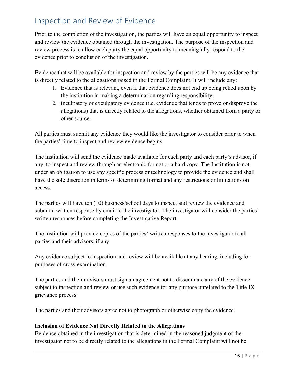## Inspection and Review of Evidence

 Prior to the completion of the investigation, the parties will have an equal opportunity to inspect and review the evidence obtained through the investigation. The purpose of the inspection and review process is to allow each party the equal opportunity to meaningfully respond to the evidence prior to conclusion of the investigation.

 is directly related to the allegations raised in the Formal Complaint. It will include any: Evidence that will be available for inspection and review by the parties will be any evidence that

- 1. Evidence that is relevant, even if that evidence does not end up being relied upon by the institution in making a determination regarding responsibility;
- 2. inculpatory or exculpatory evidence (i.e. evidence that tends to prove or disprove the allegations) that is directly related to the allegations, whether obtained from a party or other source.

 the parties' time to inspect and review evidence begins. All parties must submit any evidence they would like the investigator to consider prior to when

 The institution will send the evidence made available for each party and each party's advisor, if any, to inspect and review through an electronic format or a hard copy. The Institution is not under an obligation to use any specific process or technology to provide the evidence and shall have the sole discretion in terms of determining format and any restrictions or limitations on access.

The parties will have ten (10) business/school days to inspect and review the evidence and submit a written response by email to the investigator. The investigator will consider the parties' written responses before completing the Investigative Report.

The institution will provide copies of the parties' written responses to the investigator to all parties and their advisors, if any.

Any evidence subject to inspection and review will be available at any hearing, including for purposes of cross-examination.

 subject to inspection and review or use such evidence for any purpose unrelated to the Title IX The parties and their advisors must sign an agreement not to disseminate any of the evidence grievance process.

The parties and their advisors agree not to photograph or otherwise copy the evidence.

#### **Inclusion of Evidence Not Directly Related to the Allegations**

Evidence obtained in the investigation that is determined in the reasoned judgment of the investigator not to be directly related to the allegations in the Formal Complaint will not be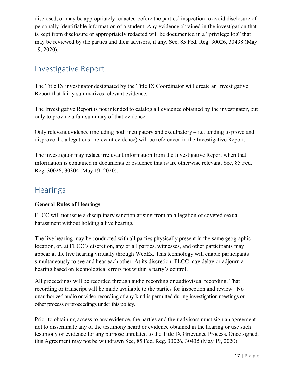disclosed, or may be appropriately redacted before the parties' inspection to avoid disclosure of personally identifiable information of a student. Any evidence obtained in the investigation that is kept from disclosure or appropriately redacted will be documented in a "privilege log" that may be reviewed by the parties and their advisors, if any. See, 85 Fed. Reg. 30026, 30438 (May 19, 2020).

## <span id="page-16-0"></span>Investigative Report

 The Title IX investigator designated by the Title IX Coordinator will create an Investigative Report that fairly summarizes relevant evidence.

The Investigative Report is not intended to catalog all evidence obtained by the investigator, but only to provide a fair summary of that evidence.

 disprove the allegations - relevant evidence) will be referenced in the Investigative Report. Only relevant evidence (including both inculpatory and exculpatory  $-$  i.e. tending to prove and

 information is contained in documents or evidence that is/are otherwise relevant. See, 85 Fed. The investigator may redact irrelevant information from the Investigative Report when that Reg. 30026, 30304 (May 19, 2020).

### <span id="page-16-1"></span>**Hearings**

### **General Rules of Hearings**

FLCC will not issue a disciplinary sanction arising from an allegation of covered sexual harassment without holding a live hearing*.* 

 location, or, at FLCC's discretion, any or all parties, witnesses, and other participants may simultaneously to see and hear each other. At its discretion, FLCC may delay or adjourn a The live hearing may be conducted with all parties physically present in the same geographic appear at the live hearing virtually through WebEx. This technology will enable participants hearing based on technological errors not within a party's control.

 recording or transcript will be made available to the parties for inspection and review. No All proceedings will be recorded through audio recording or audiovisual recording. That unauthorized audio or video recording of any kind is permitted during investigation meetings or other process or proceedings under this policy.

Prior to obtaining access to any evidence, the parties and their advisors must sign an agreement not to disseminate any of the testimony heard or evidence obtained in the hearing or use such testimony or evidence for any purpose unrelated to the Title IX Grievance Process. Once signed, this Agreement may not be withdrawn See, 85 Fed. Reg. 30026, 30435 (May 19, 2020).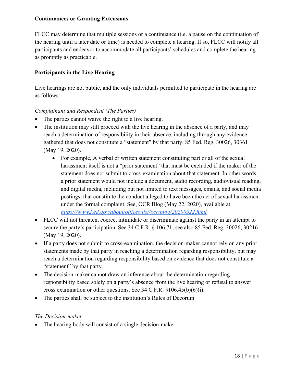#### **Continuances or Granting Extensions**

 FLCC may determine that multiple sessions or a continuance (i.e. a pause on the continuation of the hearing until a later date or time) is needed to complete a hearing. If so, FLCC will notify all participants and endeavor to accommodate all participants' schedules and complete the hearing as promptly as practicable.

### **Participants in the Live Hearing**

Live hearings are not public, and the only individuals permitted to participate in the hearing are as follows:

### *Complainant and Respondent (The Parties)*

- The parties cannot waive the right to a live hearing.
- gathered that does not constitute a "statement" by that party. 85 Fed. Reg. 30026, 30361 • The institution may still proceed with the live hearing in the absence of a party, and may reach a determination of responsibility in their absence, including through any evidence (May 19, 2020).
	- For example, A verbal or written statement constituting part or all of the sexual harassment itself is not a "prior statement" that must be excluded if the maker of the statement does not submit to cross-examination about that statement. In other words, a prior statement would not include a document, audio recording, audiovisual reading, and digital media, including but not limited to text messages, emails, and social media postings, that constitute the conduct alleged to have been the act of sexual harassment under the formal complaint. See, OCR Blog (May 22, 2020), available at *<https://www2.ed.gov/about/offices/list/ocr/blog/20200522.html>*
- • FLCC will not threaten, coerce, intimidate or discriminate against the party in an attempt to secure the party's participation. See 34 C.F.R. § 106.71; see also 85 Fed. Reg. 30026, 30216 (May 19, 2020).
- If a party does not submit to cross-examination, the decision-maker cannot rely on any prior statements made by that party in reaching a determination regarding responsibility, but may reach a determination regarding responsibility based on evidence that does not constitute a "statement" by that party.
- The decision-maker cannot draw an inference about the determination regarding responsibility based solely on a party's absence from the live hearing or refusal to answer cross examination or other questions. See 34 C.F.R. §106.45(b)(6)(i).
- The parties shall be subject to the institution's Rules of Decorum

#### *The Decision-maker*

• The hearing body will consist of a single decision-maker.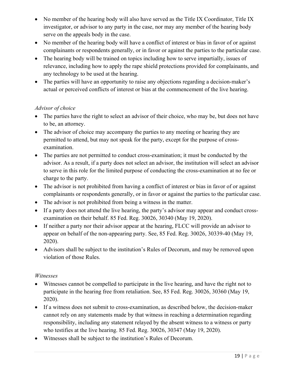- No member of the hearing body will also have served as the Title IX Coordinator, Title IX investigator, or advisor to any party in the case, nor may any member of the hearing body serve on the appeals body in the case.
- complainants or respondents generally, or in favor or against the parties to the particular case. • No member of the hearing body will have a conflict of interest or bias in favor of or against
- • The hearing body will be trained on topics including how to serve impartially, issues of relevance, including how to apply the rape shield protections provided for complainants, and any technology to be used at the hearing.
- • The parties will have an opportunity to raise any objections regarding a decision-maker's actual or perceived conflicts of interest or bias at the commencement of the live hearing.

### *Advisor of choice*

- • The parties have the right to select an advisor of their choice, who may be, but does not have to be, an attorney.
- The advisor of choice may accompany the parties to any meeting or hearing they are permitted to attend, but may not speak for the party, except for the purpose of crossexamination.
- advisor. As a result, if a party does not select an advisor, the institution will select an advisor charge to the party. • The parties are not permitted to conduct cross-examination; it must be conducted by the to serve in this role for the limited purpose of conducting the cross-examination at no fee or
- complainants or respondents generally, or in favor or against the parties to the particular case. • The advisor is not prohibited from having a conflict of interest or bias in favor of or against
- The advisor is not prohibited from being a witness in the matter.
- If a party does not attend the live hearing, the party's advisor may appear and conduct crossexamination on their behalf. 85 Fed. Reg. 30026, 30340 (May 19, 2020).
- If neither a party nor their advisor appear at the hearing, FLCC will provide an advisor to appear on behalf of the non-appearing party. See, 85 Fed. Reg. 30026, 30339-40 (May 19, 2020).
- Advisors shall be subject to the institution's Rules of Decorum, and may be removed upon violation of those Rules.

#### *Witnesses*

- Witnesses cannot be compelled to participate in the live hearing, and have the right not to participate in the hearing free from retaliation. See, 85 Fed. Reg. 30026, 30360 (May 19, 2020).
- cannot rely on any statements made by that witness in reaching a determination regarding responsibility, including any statement relayed by the absent witness to a witness or party • If a witness does not submit to cross-examination, as described below, the decision-maker who testifies at the live hearing. 85 Fed. Reg. 30026, 30347 (May 19, 2020).
- Witnesses shall be subject to the institution's Rules of Decorum.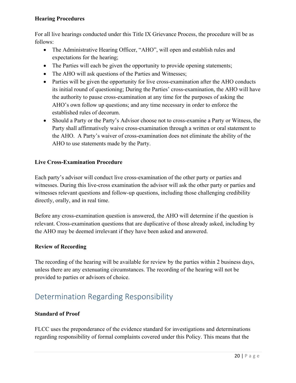#### **Hearing Procedures**

 For all live hearings conducted under this Title IX Grievance Process, the procedure will be as follows:

- The Administrative Hearing Officer, "AHO", will open and establish rules and expectations for the hearing;
- The Parties will each be given the opportunity to provide opening statements;
- The AHO will ask questions of the Parties and Witnesses;
- Parties will be given the opportunity for live cross-examination after the AHO conducts its initial round of questioning; During the Parties' cross-examination, the AHO will have the authority to pause cross-examination at any time for the purposes of asking the AHO's own follow up questions; and any time necessary in order to enforce the established rules of decorum.
- Should a Party or the Party's Advisor choose not to cross-examine a Party or Witness, the Party shall affirmatively waive cross-examination through a written or oral statement to the AHO. A Party's waiver of cross-examination does not eliminate the ability of the AHO to use statements made by the Party.

### **Live Cross-Examination Procedure**

Each party's advisor will conduct live cross-examination of the other party or parties and witnesses. During this live-cross examination the advisor will ask the other party or parties and witnesses relevant questions and follow-up questions, including those challenging credibility directly, orally, and in real time.

Before any cross-examination question is answered, the AHO will determine if the question is relevant. Cross-examination questions that are duplicative of those already asked, including by the AHO may be deemed irrelevant if they have been asked and answered.

#### **Review of Recording**

The recording of the hearing will be available for review by the parties within 2 business days, unless there are any extenuating circumstances. The recording of the hearing will not be provided to parties or advisors of choice.

## <span id="page-19-0"></span>Determination Regarding Responsibility

#### **Standard of Proof**

 FLCC uses the preponderance of the evidence standard for investigations and determinations regarding responsibility of formal complaints covered under this Policy. This means that the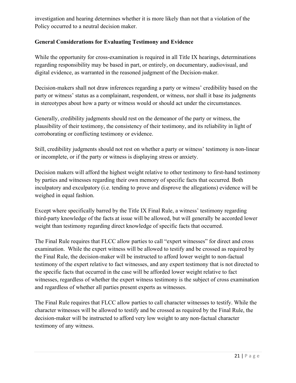investigation and hearing determines whether it is more likely than not that a violation of the Policy occurred to a neutral decision maker.

### **General Considerations for Evaluating Testimony and Evidence**

While the opportunity for cross-examination is required in all Title IX hearings, determinations regarding responsibility may be based in part, or entirely, on documentary, audiovisual, and digital evidence, as warranted in the reasoned judgment of the Decision-maker.

Decision-makers shall not draw inferences regarding a party or witness' credibility based on the party or witness' status as a complainant, respondent, or witness, nor shall it base its judgments in stereotypes about how a party or witness would or should act under the circumstances.

 plausibility of their testimony, the consistency of their testimony, and its reliability in light of Generally, credibility judgments should rest on the demeanor of the party or witness, the corroborating or conflicting testimony or evidence.

 or incomplete, or if the party or witness is displaying stress or anxiety. Still, credibility judgments should not rest on whether a party or witness' testimony is non-linear

Decision makers will afford the highest weight relative to other testimony to first-hand testimony by parties and witnesses regarding their own memory of specific facts that occurred. Both inculpatory and exculpatory (i.e. tending to prove and disprove the allegations) evidence will be weighed in equal fashion.

Except where specifically barred by the Title IX Final Rule, a witness' testimony regarding third-party knowledge of the facts at issue will be allowed, but will generally be accorded lower weight than testimony regarding direct knowledge of specific facts that occurred.

 testimony of the expert relative to fact witnesses, and any expert testimony that is not directed to The Final Rule requires that FLCC allow parties to call "expert witnesses" for direct and cross examination. While the expert witness will be allowed to testify and be crossed as required by the Final Rule, the decision-maker will be instructed to afford lower weight to non-factual the specific facts that occurred in the case will be afforded lower weight relative to fact witnesses, regardless of whether the expert witness testimony is the subject of cross examination and regardless of whether all parties present experts as witnesses.

 character witnesses will be allowed to testify and be crossed as required by the Final Rule, the The Final Rule requires that FLCC allow parties to call character witnesses to testify. While the decision-maker will be instructed to afford very low weight to any non-factual character testimony of any witness.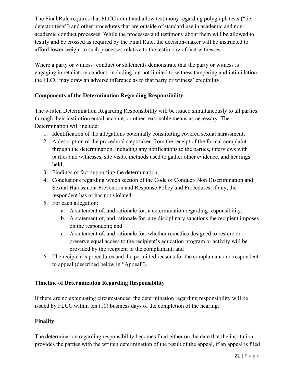The Final Rule requires that FLCC admit and allow testimony regarding polygraph tests ("lie testify and be crossed as required by the Final Rule, the decision-maker will be instructed to detector tests") and other procedures that are outside of standard use in academic and nonacademic conduct processes. While the processes and testimony about them will be allowed to afford lower weight to such processes relative to the testimony of fact witnesses.

Where a party or witness' conduct or statements demonstrate that the party or witness is engaging in retaliatory conduct, including but not limited to witness tampering and intimidation, the FLCC may draw an adverse inference as to that party or witness' credibility.

### **Components of the Determination Regarding Responsibility**

 The written Determination Regarding Responsibility will be issued simultaneously to all parties through their institution email account, or other reasonable means as necessary. The Determination will include:

- 1. Identification of the allegations potentially constituting covered sexual harassment;
- parties and witnesses, site visits, methods used to gather other evidence, and hearings 2. A description of the procedural steps taken from the receipt of the formal complaint through the determination, including any notifications to the parties, interviews with held;
- 3. Findings of fact supporting the determination;
- 4. Conclusions regarding which section of the Code of Conduct/ Non Discrimination and Sexual Harassment Prevention and Response Policy and Procedures, if any, the respondent has or has not violated.
- 5. For each allegation:
	- a. A statement of, and rationale for, a determination regarding responsibility;
	- b. A statement of, and rationale for, any disciplinary sanctions the recipient imposes on the respondent; and
	- c. A statement of, and rationale for, whether remedies designed to restore or preserve equal access to the recipient's education program or activity will be provided by the recipient to the complainant; and
- 6. The recipient's procedures and the permitted reasons for the complainant and respondent to appeal (described below in "Appeal").

### **Timeline of Determination Regarding Responsibility**

 If there are no extenuating circumstances, the determination regarding responsibility will be issued by FLCC within ten (10) business days of the completion of the hearing.

### **Finality**

The determination regarding responsibility becomes final either on the date that the institution provides the parties with the written determination of the result of the appeal, if an appeal is filed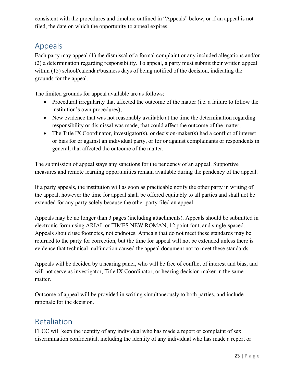filed, the date on which the opportunity to appeal expires. consistent with the procedures and timeline outlined in "Appeals" below, or if an appeal is not

## <span id="page-22-0"></span>Appeals

Each party may appeal (1) the dismissal of a formal complaint or any included allegations and/or (2) a determination regarding responsibility. To appeal, a party must submit their written appeal within (15) school/calendar/business days of being notified of the decision, indicating the grounds for the appeal.

The limited grounds for appeal available are as follows:

- • Procedural irregularity that affected the outcome of the matter (i.e. a failure to follow the institution's own procedures);
- • New evidence that was not reasonably available at the time the determination regarding responsibility or dismissal was made, that could affect the outcome of the matter;
- general, that affected the outcome of the matter. • The Title IX Coordinator, investigator(s), or decision-maker(s) had a conflict of interest or bias for or against an individual party, or for or against complainants or respondents in

The submission of appeal stays any sanctions for the pendency of an appeal. Supportive measures and remote learning opportunities remain available during the pendency of the appeal.

If a party appeals, the institution will as soon as practicable notify the other party in writing of the appeal, however the time for appeal shall be offered equitably to all parties and shall not be extended for any party solely because the other party filed an appeal.

 Appeals may be no longer than 3 pages (including attachments). Appeals should be submitted in Appeals should use footnotes, not endnotes. Appeals that do not meet these standards may be returned to the party for correction, but the time for appeal will not be extended unless there is electronic form using ARIAL or TIMES NEW ROMAN, 12 point font, and single-spaced. evidence that technical malfunction caused the appeal document not to meet these standards.

Appeals will be decided by a hearing panel, who will be free of conflict of interest and bias, and will not serve as investigator, Title IX Coordinator, or hearing decision maker in the same matter.

 Outcome of appeal will be provided in writing simultaneously to both parties, and include rationale for the decision.

## <span id="page-22-1"></span>Retaliation

FLCC will keep the identity of any individual who has made a report or complaint of sex discrimination confidential, including the identity of any individual who has made a report or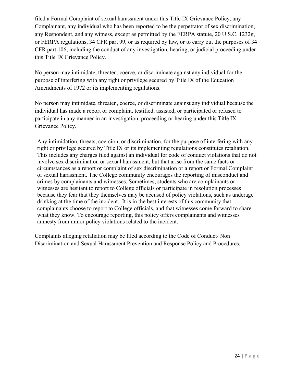filed a Formal Complaint of sexual harassment under this Title IX Grievance Policy, any this Title IX Grievance Policy. Complainant, any individual who has been reported to be the perpetrator of sex discrimination, any Respondent, and any witness, except as permitted by the FERPA statute, 20 U.S.C. 1232g, or FERPA regulations, 34 CFR part 99, or as required by law, or to carry out the purposes of 34 CFR part 106, including the conduct of any investigation, hearing, or judicial proceeding under

 purpose of interfering with any right or privilege secured by Title IX of the Education No person may intimidate, threaten, coerce, or discriminate against any individual for the Amendments of 1972 or its implementing regulations.

 participate in any manner in an investigation, proceeding or hearing under this Title IX No person may intimidate, threaten, coerce, or discriminate against any individual because the individual has made a report or complaint, testified, assisted, or participated or refused to Grievance Policy.

 right or privilege secured by Title IX or its implementing regulations constitutes retaliation. This includes any charges filed against an individual for code of conduct violations that do not witnesses are hesitant to report to College officials or participate in resolution processes complainants choose to report to College officials, and that witnesses come forward to share Any intimidation, threats, coercion, or discrimination, for the purpose of interfering with any involve sex discrimination or sexual harassment, but that arise from the same facts or circumstances as a report or complaint of sex discrimination or a report or Formal Complaint of sexual harassment. The College community encourages the reporting of misconduct and crimes by complainants and witnesses. Sometimes, students who are complainants or because they fear that they themselves may be accused of policy violations, such as underage drinking at the time of the incident. It is in the best interests of this community that what they know. To encourage reporting, this policy offers complainants and witnesses amnesty from minor policy violations related to the incident.

 Complaints alleging retaliation may be filed according to the Code of Conduct/ Non Discrimination and Sexual Harassment Prevention and Response Policy and Procedures.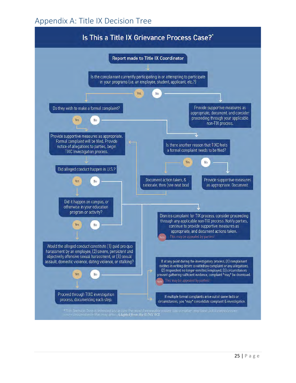## <span id="page-24-0"></span>Appendix A: Title IX Decision Tree

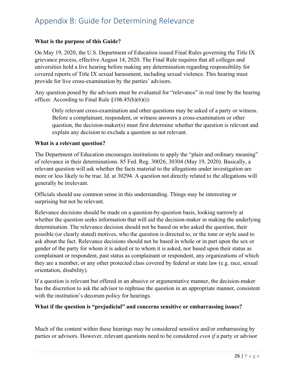## <span id="page-25-0"></span>Appendix B: Guide for Determining Relevance

#### **What is the purpose of this Guide?**

 On May 19, 2020, the U.S. Department of Education issued Final Rules governing the Title IX covered reports of Title IX sexual harassment, including sexual violence. This hearing must grievance process, effective August 14, 2020. The Final Rule requires that all colleges and universities hold a live hearing before making any determination regarding responsibility for provide for live cross-examination by the parties' advisors.

Any question posed by the advisors must be evaluated for "relevance" in real time by the hearing officer. According to Final Rule  $\S 106.45(b)(6)(i)$ :

 explain any decision to exclude a question as not relevant. Only relevant cross-examination and other questions may be asked of a party or witness. Before a complainant, respondent, or witness answers a cross-examination or other question, the decision-maker(s) must first determine whether the question is relevant and

#### **What is a relevant question?**

The Department of Education encourages institutions to apply the "plain and ordinary meaning" of relevance in their determinations. 85 Fed. Reg. 30026, 30304 (May 19, 2020). Basically, a relevant question will ask whether the facts material to the allegations under investigation are more or less likely to be true. Id. at 30294. A question not directly related to the allegations will generally be irrelevant.

 surprising but not be relevant. Officials should use common sense in this understanding. Things may be interesting or

 possible (or clearly stated) motives, who the question is directed to, or the tone or style used to gender of the party for whom it is asked or to whom it is asked, nor based upon their status as orientation, disability). Relevance decisions should be made on a question-by-question basis, looking narrowly at whether the question seeks information that will aid the decision-maker in making the underlying determination. The relevance decision should not be based on who asked the question, their ask about the fact. Relevance decisions should not be based in whole or in part upon the sex or complainant or respondent, past status as complainant or respondent, any organizations of which they are a member, or any other protected class covered by federal or state law (e.g. race, sexual

If a question is relevant but offered in an abusive or argumentative manner, the decision-maker has the discretion to ask the advisor to rephrase the question in an appropriate manner, consistent with the institution's decorum policy for hearings.

#### **What if the question is "prejudicial" and concerns sensitive or embarrassing issues?**

Much of the content within these hearings may be considered sensitive and/or embarrassing by parties or advisors. However, relevant questions need to be considered *even if* a party or advisor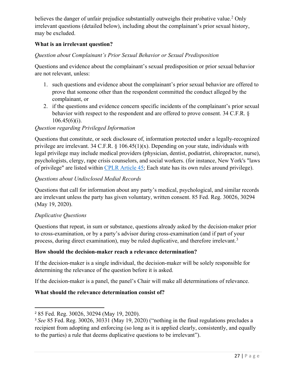believes the danger of unfair prejudice substantially outweighs their probative value.<sup>[2](#page-26-0)</sup> Only irrelevant questions (detailed below), including about the complainant's prior sexual history, may be excluded.

### **What is an irrelevant question?**

#### *Question about Complainant's Prior Sexual Behavior or Sexual Predisposition*

 Questions and evidence about the complainant's sexual predisposition or prior sexual behavior are not relevant, unless:

- 1. such questions and evidence about the complainant's prior sexual behavior are offered to prove that someone other than the respondent committed the conduct alleged by the complainant, or
- 2. if the questions and evidence concern specific incidents of the complainant's prior sexual behavior with respect to the respondent and are offered to prove consent. 34 C.F.R. §  $106.45(6)(i)$ .

### *Question regarding Privileged Information*

Questions that constitute, or seek disclosure of, information protected under a legally-recognized privilege are irrelevant. 34 C.F.R.  $\S$  106.45(1)(x). Depending on your state, individuals with legal privilege may include medical providers (physician, dentist, podiatrist, chiropractor, nurse), psychologists, clergy, rape crisis counselors, and social workers. (for instance, New York's "laws of privilege" are listed within [CPLR Article 45;](https://www.nysenate.gov/legislation/laws/CVP/A45) Each state has its own rules around privilege).

#### *Questions about Undisclosed Medial Records*

 are irrelevant unless the party has given voluntary, written consent. 85 Fed. Reg. 30026, 30294 Questions that call for information about any party's medical, psychological, and similar records (May 19, 2020).

#### *Duplicative Questions*

l

 Questions that repeat, in sum or substance, questions already asked by the decision-maker prior process, during direct examination), may be ruled duplicative, and therefore irrelevant.<sup>3</sup> to cross-examination, or by a party's advisor during cross-examination (and if part of your

#### **How should the decision-maker reach a relevance determination?**

 determining the relevance of the question before it is asked. If the decision-maker is a single individual, the decision-maker will be solely responsible for

If the decision-maker is a panel, the panel's Chair will make all determinations of relevance.

### **What should the relevance determination consist of?**

<span id="page-26-0"></span><sup>2</sup>85 Fed. Reg. 30026, 30294 (May 19, 2020).

<span id="page-26-1"></span><sup>3</sup>*See* 85 Fed. Reg. 30026, 30331 (May 19, 2020) ("nothing in the final regulations precludes a recipient from adopting and enforcing (so long as it is applied clearly, consistently, and equally to the parties) a rule that deems duplicative questions to be irrelevant").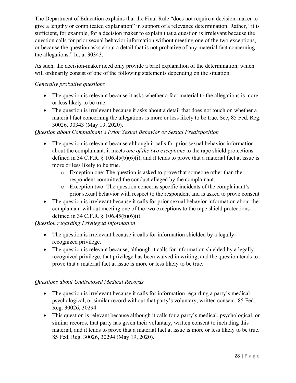The Department of Education explains that the Final Rule "does not require a decision-maker to give a lengthy or complicated explanation" in support of a relevance determination. Rather, "it is sufficient, for example, for a decision maker to explain that a question is irrelevant because the question calls for prior sexual behavior information without meeting one of the two exceptions, or because the question asks about a detail that is not probative of any material fact concerning the allegations." Id. at 30343.

As such, the decision-maker need only provide a brief explanation of the determination, which will ordinarily consist of one of the following statements depending on the situation.

#### *Generally probative questions*

- The question is relevant because it asks whether a fact material to the allegations is more or less likely to be true.
- • The question is irrelevant because it asks about a detail that does not touch on whether a material fact concerning the allegations is more or less likely to be true. See, 85 Fed. Reg. 30026, 30343 (May 19, 2020).

### *Question about Complainant's Prior Sexual Behavior or Sexual Predisposition*

- about the complainant, it meets *one of the two exceptions* to the rape shield protections • The question is relevant because although it calls for prior sexual behavior information defined in 34 C.F.R.  $\S$  106.45(b)(6)(i), and it tends to prove that a material fact at issue is more or less likely to be true.
	- o Exception one: The question is asked to prove that someone other than the respondent committed the conduct alleged by the complainant.
	- prior sexual behavior with respect to the respondent and is asked to prove consent o Exception two: The question concerns specific incidents of the complainant's
- The question is irrelevant because it calls for prior sexual behavior information about the complainant without meeting one of the two exceptions to the rape shield protections defined in 34 C.F.R. § 106.45(b)(6)(i).

### *Question regarding Privileged Information*

- The question is irrelevant because it calls for information shielded by a legallyrecognized privilege.
- The question is relevant because, although it calls for information shielded by a legallyrecognized privilege, that privilege has been waived in writing, and the question tends to prove that a material fact at issue is more or less likely to be true.

### *Questions about Undisclosed Medical Records*

- The question is irrelevant because it calls for information regarding a party's medical, psychological, or similar record without that party's voluntary, written consent. 85 Fed. Reg. 30026, 30294.
- material, and it tends to prove that a material fact at issue is more or less likely to be true. • This question is relevant because although it calls for a party's medical, psychological, or similar records, that party has given their voluntary, written consent to including this 85 Fed. Reg. 30026, 30294 (May 19, 2020).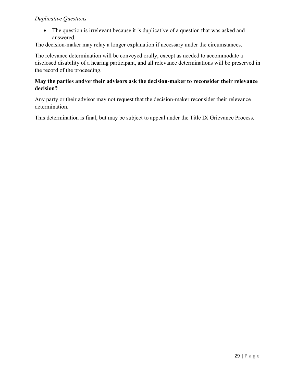### *Duplicative Questions*

• The question is irrelevant because it is duplicative of a question that was asked and answered.

The decision-maker may relay a longer explanation if necessary under the circumstances.

 disclosed disability of a hearing participant, and all relevance determinations will be preserved in The relevance determination will be conveyed orally, except as needed to accommodate a the record of the proceeding.

#### **May the parties and/or their advisors ask the decision-maker to reconsider their relevance decision?**

Any party or their advisor may not request that the decision-maker reconsider their relevance determination.

This determination is final, but may be subject to appeal under the Title IX Grievance Process.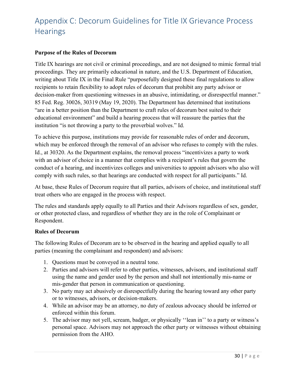## <span id="page-29-0"></span>Appendix C: Decorum Guidelines for Title IX Grievance Process **Hearings**

#### **Purpose of the Rules of Decorum**

 writing about Title IX in the Final Rule "purposefully designed these final regulations to allow 85 Fed. Reg. 30026, 30319 (May 19, 2020). The Department has determined that institutions educational environment" and build a hearing process that will reassure the parties that the Title IX hearings are not civil or criminal proceedings, and are not designed to mimic formal trial proceedings. They are primarily educational in nature, and the U.S. Department of Education, recipients to retain flexibility to adopt rules of decorum that prohibit any party advisor or decision-maker from questioning witnesses in an abusive, intimidating, or disrespectful manner." "are in a better position than the Department to craft rules of decorum best suited to their institution "is not throwing a party to the proverbial wolves." Id.

To achieve this purpose, institutions may provide for reasonable rules of order and decorum, which may be enforced through the removal of an advisor who refuses to comply with the rules. Id., at 30320. As the Department explains, the removal process "incentivizes a party to work with an advisor of choice in a manner that complies with a recipient's rules that govern the conduct of a hearing, and incentivizes colleges and universities to appoint advisors who also will comply with such rules, so that hearings are conducted with respect for all participants." Id.

At base, these Rules of Decorum require that all parties, advisors of choice, and institutional staff treat others who are engaged in the process with respect.

 or other protected class, and regardless of whether they are in the role of Complainant or The rules and standards apply equally to all Parties and their Advisors regardless of sex, gender, Respondent.

#### **Rules of Decorum**

The following Rules of Decorum are to be observed in the hearing and applied equally to all parties (meaning the complainant and respondent) and advisors:

- 1. Questions must be conveyed in a neutral tone.
- 2. Parties and advisors will refer to other parties, witnesses, advisors, and institutional staff using the name and gender used by the person and shall not intentionally mis-name or mis-gender that person in communication or questioning.
- 3. No party may act abusively or disrespectfully during the hearing toward any other party or to witnesses, advisors, or decision-makers.
- 4. While an advisor may be an attorney, no duty of zealous advocacy should be inferred or enforced within this forum.
- 5. The advisor may not yell, scream, badger, or physically ''lean in'' to a party or witness's personal space. Advisors may not approach the other party or witnesses without obtaining permission from the AHO.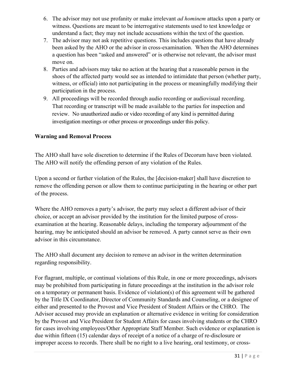- understand a fact; they may not include accusations within the text of the question. 6. The advisor may not use profanity or make irrelevant *ad hominem* attacks upon a party or witness. Questions are meant to be interrogative statements used to test knowledge or
- 7. The advisor may not ask repetitive questions. This includes questions that have already been asked by the AHO or the advisor in cross-examination. When the AHO determines a question has been "asked and answered" or is otherwise not relevant, the advisor must move on.
- 8. Parties and advisors may take no action at the hearing that a reasonable person in the shoes of the affected party would see as intended to intimidate that person (whether party, witness, or official) into not participating in the process or meaningfully modifying their participation in the process.
- 9. All proceedings will be recorded through audio recording or audiovisual recording. That recording or transcript will be made available to the parties for inspection and review. No unauthorized audio or video recording of any kind is permitted during investigation meetings or other process or proceedings under this policy.

#### **Warning and Removal Process**

The AHO shall have sole discretion to determine if the Rules of Decorum have been violated. The AHO will notify the offending person of any violation of the Rules.

Upon a second or further violation of the Rules, the [decision-maker] shall have discretion to remove the offending person or allow them to continue participating in the hearing or other part of the process.

Where the AHO removes a party's advisor, the party may select a different advisor of their choice, or accept an advisor provided by the institution for the limited purpose of crossexamination at the hearing. Reasonable delays, including the temporary adjournment of the hearing, may be anticipated should an advisor be removed. A party cannot serve as their own advisor in this circumstance.

The AHO shall document any decision to remove an advisor in the written determination regarding responsibility.

 for cases involving employees/Other Appropriate Staff Member. Such evidence or explanation is For flagrant, multiple, or continual violations of this Rule, in one or more proceedings, advisors may be prohibited from participating in future proceedings at the institution in the advisor role on a temporary or permanent basis. Evidence of violation(s) of this agreement will be gathered by the Title IX Coordinator, Director of Community Standards and Counseling, or a designee of either and presented to the Provost and Vice President of Student Affairs or the CHRO. The Advisor accused may provide an explanation or alternative evidence in writing for consideration by the Provost and Vice President for Student Affairs for cases involving students or the CHRO due within fifteen (15) calendar days of receipt of a notice of a charge of re-disclosure or improper access to records. There shall be no right to a live hearing, oral testimony, or cross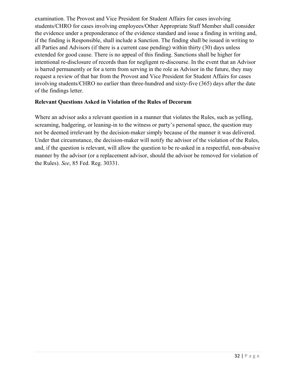examination. The Provost and Vice President for Student Affairs for cases involving students/CHRO for cases involving employees/Other Appropriate Staff Member shall consider the evidence under a preponderance of the evidence standard and issue a finding in writing and, if the finding is Responsible, shall include a Sanction. The finding shall be issued in writing to all Parties and Advisors (if there is a current case pending) within thirty (30) days unless extended for good cause. There is no appeal of this finding. Sanctions shall be higher for intentional re-disclosure of records than for negligent re-discourse. In the event that an Advisor is barred permanently or for a term from serving in the role as Advisor in the future, they may request a review of that bar from the Provost and Vice President for Student Affairs for cases involving students/CHRO no earlier than three-hundred and sixty-five (365) days after the date of the findings letter.

#### **Relevant Questions Asked in Violation of the Rules of Decorum**

Where an advisor asks a relevant question in a manner that violates the Rules, such as yelling, screaming, badgering, or leaning-in to the witness or party's personal space, the question may not be deemed irrelevant by the decision-maker simply because of the manner it was delivered. Under that circumstance, the decision-maker will notify the advisor of the violation of the Rules, and, if the question is relevant, will allow the question to be re-asked in a respectful, non-abusive manner by the advisor (or a replacement advisor, should the advisor be removed for violation of the Rules). *See*, 85 Fed. Reg. 30331.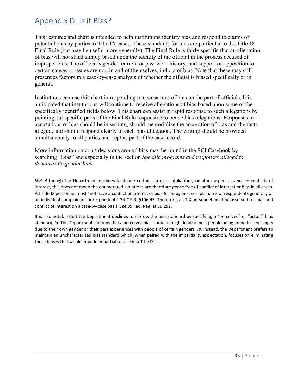## <span id="page-32-0"></span>Appendix D: Is it Bias?

 potential bias by parties to Title IX cases. These standards for bias are particular to the Title IX Final Rule (but may be useful more generally). The Final Rule is fairly specific that an allegation of bias will not stand simply based upon the identity of the official in the process accused of present as factors in a case-by-case analysis of whether the official is biased specifically or in This resource and chart is intended to help institutions identify bias and respond to claims of improper bias. The official's gender, current or past work history, and support or opposition to certain causes or issues are not, in and of themselves, indicia of bias. Note that these may still general.

 Institutions can use this chart in responding to accusations of bias on the part of officials. It is simultaneously to all parties and kept as part of the case record. anticipated that institutions willcontinue to receive allegations of bias based upon some of the specifically identified fields below. This chart can assist in rapid response to such allegations by pointing out specific parts of the Final Rule responsive to per se bias allegations. Responses to accusations of bias should be in writing, should memorialize the accusation of bias and the facts alleged, and should respond clearly to each bias allegation. The writing should be provided

 searching "Bias" and especially in the section *Specific programs and responses alleged to*  More information on court decisions around bias may be found in the SCI Casebook by *demonstrate gender bias.* 

 interest, this does not mean the enumerated situations are therefore *per se* free of conflict of interest or bias in all cases. All Title IX personnel must "not have a conflict of interest or bias for or against complainants or respondents generally or an individual complainant or respondent." 34 C.F.R. §106.45. Therefore, all TIX personnel must be assessed for bias and conflict of interest on a case-by-case basis. *See* 85 Fed. Reg. at 30,252. *N.B.* Although the Department declines to define certain statuses, affiliations, or other aspects as *per se* conflicts of

 It is also notable that the Department declines to narrow the bias standard by specifying a "perceived" or "actual" bias standard. *Id.* The Department cautions that a perceived bias standard might lead to most people being found biased simply due to their own gender or their past experiences with people of certain genders. *Id.* Instead, the Department prefers to those biases that would impede impartial service in a Title IX maintain an uncharacterized bias standard which, when paired with the impartiality expectation, focuses on eliminating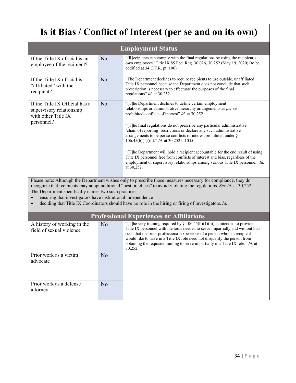# **Is it Bias / Conflict of Interest (per se and on its own)**

| <b>Employment Status</b>                                                                                                                                                                                                                                                                                                                                         |                |                                                                                                                                                                                                                                                                                                                                                                                                                               |  |  |  |
|------------------------------------------------------------------------------------------------------------------------------------------------------------------------------------------------------------------------------------------------------------------------------------------------------------------------------------------------------------------|----------------|-------------------------------------------------------------------------------------------------------------------------------------------------------------------------------------------------------------------------------------------------------------------------------------------------------------------------------------------------------------------------------------------------------------------------------|--|--|--|
| If the Title IX official is an<br>employee of the recipient?                                                                                                                                                                                                                                                                                                     | No             | "[R] ecipients can comply with the final regulations by using the recipient's<br>own employees" Title IX 85 Fed. Reg. 30,026, 30,252 (May 19, 2020) (to be<br>codified at 34 C.F.R. pt. 106).                                                                                                                                                                                                                                 |  |  |  |
| If the Title IX official is<br>"affiliated" with the<br>recipient?                                                                                                                                                                                                                                                                                               | N <sub>o</sub> | "The Department declines to require recipients to use outside, unaffiliated<br>Title IX personnel because the Department does not conclude that such<br>prescription is necessary to effectuate the purposes of the final<br>regulations" Id. at 30,252.                                                                                                                                                                      |  |  |  |
| If the Title IX Official has a<br>supervisory relationship<br>with other Title IX<br>personnel?                                                                                                                                                                                                                                                                  | N <sub>o</sub> | "[T]he Department declines to define certain employment<br>relationships or administrative hierarchy arrangements as per se<br>prohibited conflicts of interest" Id. at 30,252.<br>"[T]he final regulations do not prescribe any particular administrative<br>'chain of reporting' restrictions or declare any such administrative                                                                                            |  |  |  |
|                                                                                                                                                                                                                                                                                                                                                                  |                | arrangements to be per se conflicts of interest prohibited under §<br>$106.45(b)(1)(iii)$ ." <i>Id.</i> at 30,252 n.1035.                                                                                                                                                                                                                                                                                                     |  |  |  |
|                                                                                                                                                                                                                                                                                                                                                                  |                | "[T]he Department will hold a recipient accountable for the end result of using<br>Title IX personnel free from conflicts of interest and bias, regardless of the<br>employment or supervisory relationships among various Title IX personnel" Id.<br>at 30,252.                                                                                                                                                              |  |  |  |
| Please note: Although the Department wishes only to prescribe those measures necessary for compliance, they do<br>recognize that recipients may adopt additional "best practices" to avoid violating the regulations. See id. at 30,252.<br>The Department specifically names two such practices:<br>ensuring that investigators have institutional independence |                |                                                                                                                                                                                                                                                                                                                                                                                                                               |  |  |  |
| deciding that Title IX Coordinators should have no role in the hiring or firing of investigators. Id.                                                                                                                                                                                                                                                            |                |                                                                                                                                                                                                                                                                                                                                                                                                                               |  |  |  |
|                                                                                                                                                                                                                                                                                                                                                                  |                | <b>Professional Experiences or Affiliations</b>                                                                                                                                                                                                                                                                                                                                                                               |  |  |  |
| A history of working in the<br>field of sexual violence                                                                                                                                                                                                                                                                                                          | N <sub>o</sub> | "[T] he very training required by $\S 106.45(b)(1)(iii)$ is intended to provide<br>Title IX personnel with the tools needed to serve impartially and without bias<br>such that the prior professional experience of a person whom a recipient<br>would like to have in a Title IX role need not disqualify the person from<br>obtaining the requisite training to serve impartially in a Title IX role." $Id$ . at<br>30,252. |  |  |  |
| Prior work as a victim<br>advocate                                                                                                                                                                                                                                                                                                                               | No             |                                                                                                                                                                                                                                                                                                                                                                                                                               |  |  |  |
| Prior work as a defense<br>attorney                                                                                                                                                                                                                                                                                                                              | N <sub>o</sub> |                                                                                                                                                                                                                                                                                                                                                                                                                               |  |  |  |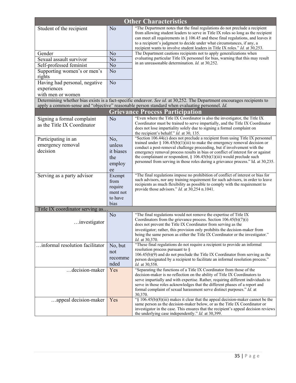| <b>Other Characteristics</b>          |                     |                                                                                                                                                                                                                           |  |  |
|---------------------------------------|---------------------|---------------------------------------------------------------------------------------------------------------------------------------------------------------------------------------------------------------------------|--|--|
| Student of the recipient              | N <sub>o</sub>      | "The Department notes that the final regulations do not preclude a recipient<br>from allowing student leaders to serve in Title IX roles so long as the recipient                                                         |  |  |
|                                       |                     | can meet all requirements in $\S$ 106.45 and these final regulations, and leaves it                                                                                                                                       |  |  |
|                                       |                     | to a recipient's judgment to decide under what circumstances, if any, a<br>recipient wants to involve student leaders in Title IX roles." Id. at 30,253.                                                                  |  |  |
| Gender                                | N <sub>o</sub>      | The Department cautions recipients not to apply generalizations when                                                                                                                                                      |  |  |
| Sexual assault survivor               | N <sub>o</sub>      | evaluating particular Title IX personnel for bias, warning that this may result                                                                                                                                           |  |  |
| Self-professed feminist               | N <sub>o</sub>      | in an unreasonable determination. Id. at 30,252.                                                                                                                                                                          |  |  |
| Supporting women's or men's<br>rights | N <sub>o</sub>      |                                                                                                                                                                                                                           |  |  |
| Having had personal, negative         | N <sub>o</sub>      |                                                                                                                                                                                                                           |  |  |
| experiences                           |                     |                                                                                                                                                                                                                           |  |  |
| with men or women                     |                     |                                                                                                                                                                                                                           |  |  |
|                                       |                     | Determining whether bias exists is a fact-specific endeavor. See id. at 30,252. The Department encourages recipients to<br>apply a common-sense and "objective" reasonable person standard when evaluating personnel. Id. |  |  |
|                                       |                     | <b>Grievance Process Participation</b>                                                                                                                                                                                    |  |  |
| Signing a formal complaint            | No                  | "Even where the Title IX Coordinator is also the investigator, the Title IX                                                                                                                                               |  |  |
| as the Title IX Coordinator           |                     | Coordinator must be trained to serve impartially, and the Title IX Coordinator<br>does not lose impartiality solely due to signing a formal complaint on                                                                  |  |  |
|                                       |                     | the recipient's behalf." Id. at 30, 135.                                                                                                                                                                                  |  |  |
| Participating in an                   | No,                 | "Section 106.44(c) does not preclude a recipient from using Title IX personnel                                                                                                                                            |  |  |
| emergency removal                     | unless              | trained under $\S 106.45(b)(1)(iii)$ to make the emergency removal decision or<br>conduct a post-removal challenge proceeding, but if involvement with the                                                                |  |  |
| decision                              | it biases           | emergency removal process results in bias or conflict of interest for or against                                                                                                                                          |  |  |
|                                       | the                 | the complainant or respondent, $\S 106.45(b)(1)(iii)$ would preclude such                                                                                                                                                 |  |  |
|                                       | employ              | personnel from serving in those roles during a grievance process." Id. at 30,235.                                                                                                                                         |  |  |
|                                       | ee                  |                                                                                                                                                                                                                           |  |  |
| Serving as a party advisor            | Exempt              | "The final regulations impose no prohibition of conflict of interest or bias for<br>such advisors, nor any training requirement for such advisors, in order to leave                                                      |  |  |
|                                       | from                | recipients as much flexibility as possible to comply with the requirement to                                                                                                                                              |  |  |
|                                       | require<br>ment not | provide those advisors." Id. at 30,254 n.1041.                                                                                                                                                                            |  |  |
|                                       | to have             |                                                                                                                                                                                                                           |  |  |
|                                       | bias                |                                                                                                                                                                                                                           |  |  |
| Title IX coordinator serving as       |                     |                                                                                                                                                                                                                           |  |  |
|                                       | N <sub>o</sub>      | "The final regulations would not remove the expertise of Title IX                                                                                                                                                         |  |  |
| investigator                          |                     | Coordinators from the grievance process. Section 106.45(b)(7)(i)<br>does not prevent the Title IX Coordinator from serving as the                                                                                         |  |  |
|                                       |                     | investigator; rather, this provision only prohibits the decision-maker from                                                                                                                                               |  |  |
|                                       |                     | being the same person as either the Title IX Coordinator or the investigator."                                                                                                                                            |  |  |
|                                       |                     | Id. at 30,370.<br>"These final regulations do not require a recipient to provide an informal                                                                                                                              |  |  |
| informal resolution facilitator       | No, but             | resolution process pursuant to §                                                                                                                                                                                          |  |  |
|                                       | not                 | 106.45(b)(9) and do not preclude the Title IX Coordinator from serving as the                                                                                                                                             |  |  |
|                                       | recomme<br>nded     | person designated by a recipient to facilitate an informal resolution process."                                                                                                                                           |  |  |
| decision-maker                        | Yes                 | Id. at 30,558.<br>"Separating the functions of a Title IX Coordinator from those of the                                                                                                                                   |  |  |
|                                       |                     | decision-maker is no reflection on the ability of Title IX Coordinators to                                                                                                                                                |  |  |
|                                       |                     | serve impartially and with expertise. Rather, requiring different individuals to                                                                                                                                          |  |  |
|                                       |                     | serve in those roles acknowledges that the different phases of a report and<br>formal complaint of sexual harassment serve distinct purposes." $Id$ . at                                                                  |  |  |
|                                       |                     | 30,370.                                                                                                                                                                                                                   |  |  |
| appeal decision-maker                 | Yes                 | "§ 106.45(b)(8)(iii) makes it clear that the appeal decision-maker cannot be the                                                                                                                                          |  |  |
|                                       |                     | same person as the decision-maker below, or as the Title IX Coordinator or<br>investigator in the case. This ensures that the recipient's appeal decision reviews                                                         |  |  |
|                                       |                     | the underlying case independently." Id. at 30,399.                                                                                                                                                                        |  |  |